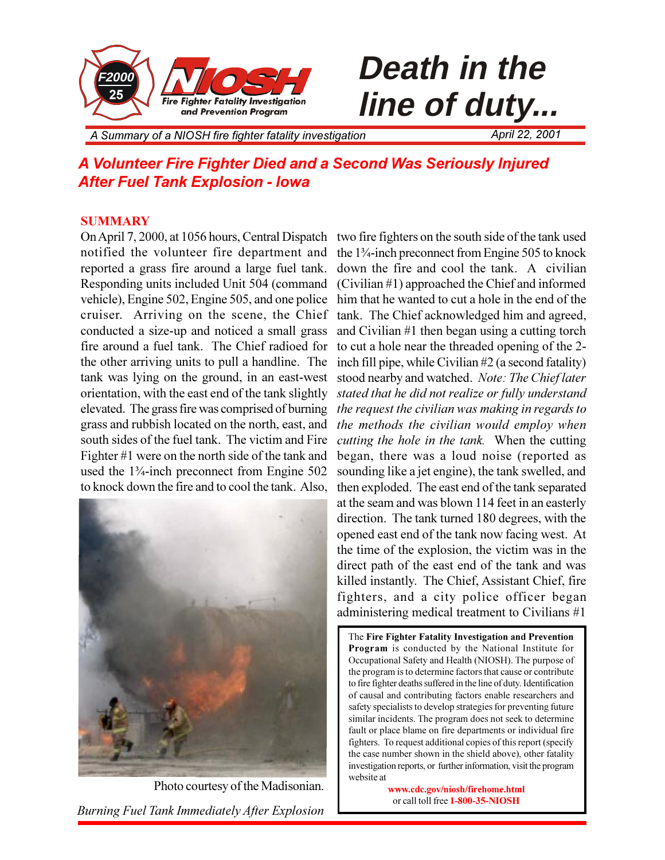

# **line of duty...**

*A Summary of a NIOSH fire fighter fatality investigation April 22, 2001*

### *A Volunteer Fire Fighter Died and a Second Was Seriously Injured After Fuel Tank Explosion - Iowa*

### **SUMMARY**

On April 7, 2000, at 1056 hours, Central Dispatch two fire fighters on the south side of the tank used notified the volunteer fire department and the 1¼-inch preconnect from Engine 505 to knock reported a grass fire around a large fuel tank. Responding units included Unit 504 (command (Civilian #1) approached the Chief and informed vehicle), Engine 502, Engine 505, and one police him that he wanted to cut a hole in the end of the cruiser. Arriving on the scene, the Chief tank. The Chief acknowledged him and agreed, conducted a size-up and noticed a small grass fire around a fuel tank. The Chief radioed for the other arriving units to pull a handline. The tank was lying on the ground, in an east-west orientation, with the east end of the tank slightly elevated. The grass fire was comprised of burning grass and rubbish located on the north, east, and south sides of the fuel tank. The victim and Fire Fighter #1 were on the north side of the tank and used the 1¾-inch preconnect from Engine 502 to knock down the fire and to cool the tank. Also,



*Burning Fuel Tank Immediately After Explosion* Photo courtesy of the Madisonian.

down the fire and cool the tank. A civilian and Civilian #1 then began using a cutting torch to cut a hole near the threaded opening of the 2 inch fill pipe, while Civilian #2 (a second fatality) stood nearby and watched. *Note: The Chief later stated that he did not realize or fully understand the request the civilian was making in regards to the methods the civilian would employ when cutting the hole in the tank.* When the cutting began, there was a loud noise (reported as sounding like a jet engine), the tank swelled, and then exploded. The east end of the tank separated at the seam and was blown 114 feet in an easterly direction. The tank turned 180 degrees, with the opened east end of the tank now facing west. At the time of the explosion, the victim was in the direct path of the east end of the tank and was killed instantly. The Chief, Assistant Chief, fire fighters, and a city police officer began administering medical treatment to Civilians #1

The **Fire Fighter Fatality Investigation and Prevention Program** is conducted by the National Institute for Occupational Safety and Health (NIOSH). The purpose of the program is to determine factors that cause or contribute to fire fighter deaths suffered in the line of duty. Identification of causal and contributing factors enable researchers and safety specialists to develop strategies for preventing future similar incidents. The program does not seek to determine fault or place blame on fire departments or individual fire fighters. To request additional copies of this report (specify the case number shown in the shield above), other fatality investigation reports, or further information, visit the program website at

> **www.cdc.gov/niosh/firehome.html** or call toll free **1-800-35-NIOSH**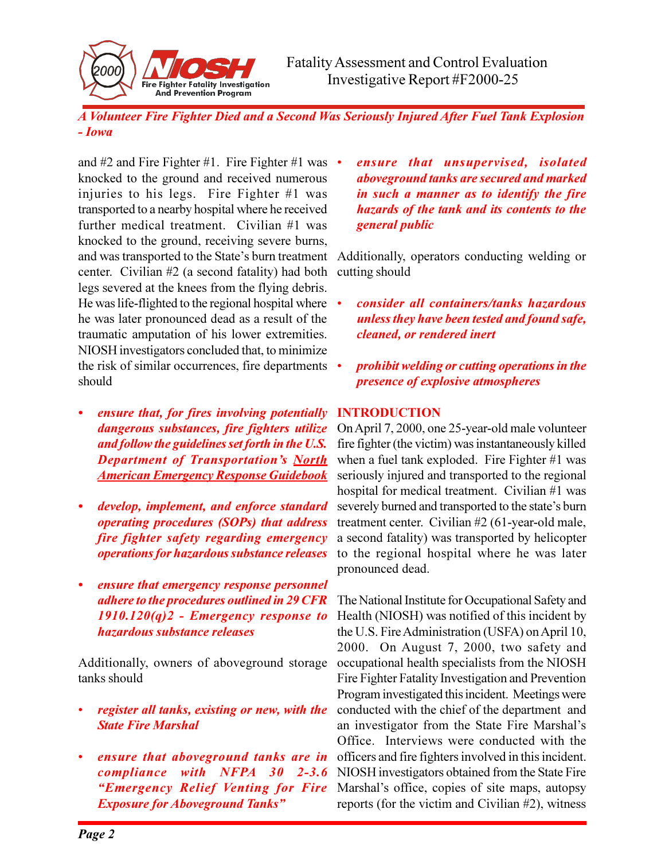*A Volunteer Fire Fighter Died and a Second Was Seriously Injured After Fuel Tank Explosion - Iowa*

and #2 and Fire Fighter #1. Fire Fighter #1 was  $\bullet$ knocked to the ground and received numerous injuries to his legs. Fire Fighter #1 was transported to a nearby hospital where he received further medical treatment. Civilian #1 was knocked to the ground, receiving severe burns, and was transported to the State's burn treatment center. Civilian #2 (a second fatality) had both legs severed at the knees from the flying debris. He was life-flighted to the regional hospital where he was later pronounced dead as a result of the traumatic amputation of his lower extremities. NIOSH investigators concluded that, to minimize the risk of similar occurrences, fire departments should

Fire Fighter Fatality Investigation<br>And Prevention Program

- *ensure that, for fires involving potentially dangerous substances, fire fighters utilize and follow the guidelines set forth in the U.S.* **Department of Transportation's North** *American Emergency Response Guidebook*
- *develop, implement, and enforce standard operating procedures (SOPs) that address fire fighter safety regarding emergency operations for hazardous substance releases*
- *ensure that emergency response personnel adhere to the procedures outlined in 29 CFR 1910.120(q)2 - Emergency response to hazardous substance releases*

Additionally, owners of aboveground storage tanks should

- *register all tanks, existing or new, with the State Fire Marshal*
- *ensure that aboveground tanks are in compliance with NFPA 30 2-3.6 Emergency Relief Venting for Fire Exposure for Aboveground Tanks*

 *ensure that unsupervised, isolated aboveground tanks are secured and marked in such a manner as to identify the fire hazards of the tank and its contents to the general public*

Additionally, operators conducting welding or cutting should

- *consider all containers/tanks hazardous unless they have been tested and found safe, cleaned, or rendered inert*
- *prohibit welding or cutting operations in the presence of explosive atmospheres*

### **INTRODUCTION**

On April 7, 2000, one 25-year-old male volunteer fire fighter (the victim) was instantaneously killed when a fuel tank exploded. Fire Fighter #1 was seriously injured and transported to the regional hospital for medical treatment. Civilian #1 was severely burned and transported to the state's burn treatment center. Civilian #2 (61-year-old male, a second fatality) was transported by helicopter to the regional hospital where he was later pronounced dead.

The National Institute for Occupational Safety and Health (NIOSH) was notified of this incident by the U.S. Fire Administration (USFA) on April 10, 2000. On August 7, 2000, two safety and occupational health specialists from the NIOSH Fire Fighter Fatality Investigation and Prevention Program investigated this incident. Meetings were conducted with the chief of the department and an investigator from the State Fire Marshal's Office. Interviews were conducted with the officers and fire fighters involved in this incident. NIOSH investigators obtained from the State Fire Marshal's office, copies of site maps, autopsy reports (for the victim and Civilian #2), witness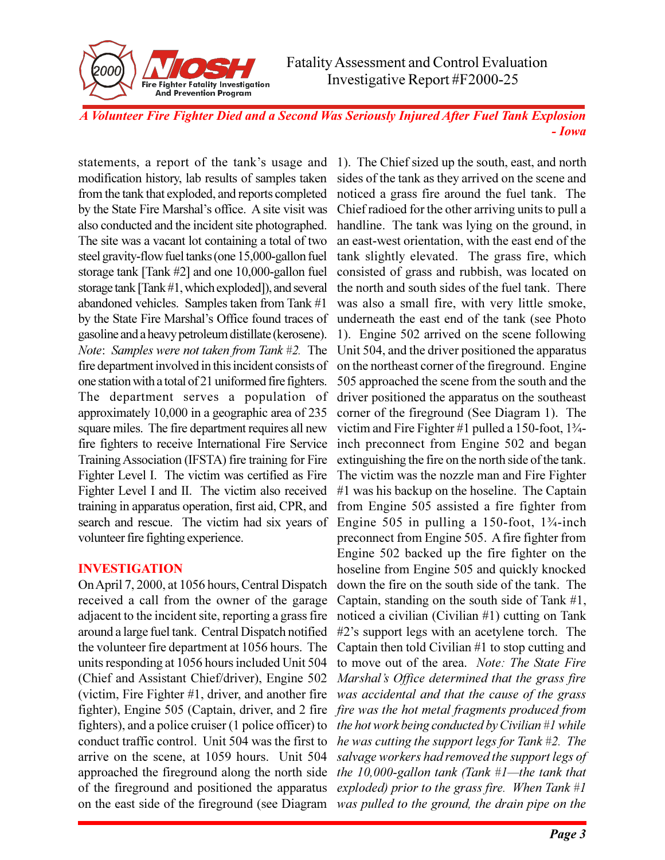*A Volunteer Fire Fighter Died and a Second Was Seriously Injured After Fuel Tank Explosion - Iowa*

statements, a report of the tank's usage and modification history, lab results of samples taken from the tank that exploded, and reports completed by the State Fire Marshal's office. A site visit was also conducted and the incident site photographed. The site was a vacant lot containing a total of two steel gravity-flow fuel tanks (one 15,000-gallon fuel storage tank [Tank #2] and one 10,000-gallon fuel storage tank [Tank #1, which exploded]), and several abandoned vehicles. Samples taken from Tank #1 by the State Fire Marshal's Office found traces of gasoline and a heavy petroleum distillate (kerosene). *Note*: *Samples were not taken from Tank #2.* The fire department involved in this incident consists of one station with a total of 21 uniformed fire fighters. The department serves a population of approximately 10,000 in a geographic area of 235 square miles. The fire department requires all new fire fighters to receive International Fire Service Training Association (IFSTA) fire training for Fire Fighter Level I. The victim was certified as Fire Fighter Level I and II. The victim also received training in apparatus operation, first aid, CPR, and search and rescue. The victim had six years of volunteer fire fighting experience.

Fire Fighter Fatality Investigation<br>And Prevention Program

### **INVESTIGATION**

On April 7, 2000, at 1056 hours, Central Dispatch received a call from the owner of the garage adjacent to the incident site, reporting a grass fire around a large fuel tank. Central Dispatch notified the volunteer fire department at 1056 hours. The units responding at 1056 hours included Unit 504 (Chief and Assistant Chief/driver), Engine 502 (victim, Fire Fighter #1, driver, and another fire *was accidental and that the cause of the grass* fighter), Engine 505 (Captain, driver, and 2 fire *fire was the hot metal fragments produced from* fighters), and a police cruiser (1 police officer) to conduct traffic control. Unit 504 was the first to arrive on the scene, at 1059 hours. Unit 504 approached the fireground along the north side the 10,000-gallon tank (Tank #1—the tank that of the fireground and positioned the apparatus *exploded) prior to the grass fire. When Tank #1* on the east side of the fireground (see Diagram *was pulled to the ground, the drain pipe on the*

1). The Chief sized up the south, east, and north sides of the tank as they arrived on the scene and noticed a grass fire around the fuel tank. The Chief radioed for the other arriving units to pull a handline. The tank was lying on the ground, in an east-west orientation, with the east end of the tank slightly elevated. The grass fire, which consisted of grass and rubbish, was located on the north and south sides of the fuel tank. There was also a small fire, with very little smoke, underneath the east end of the tank (see Photo 1). Engine 502 arrived on the scene following Unit 504, and the driver positioned the apparatus on the northeast corner of the fireground. Engine 505 approached the scene from the south and the driver positioned the apparatus on the southeast corner of the fireground (See Diagram 1). The victim and Fire Fighter #1 pulled a 150-foot, 1¾ inch preconnect from Engine 502 and began extinguishing the fire on the north side of the tank. The victim was the nozzle man and Fire Fighter #1 was his backup on the hoseline. The Captain from Engine 505 assisted a fire fighter from Engine 505 in pulling a 150-foot,  $1\frac{3}{4}$ -inch preconnect from Engine 505. A fire fighter from Engine 502 backed up the fire fighter on the hoseline from Engine 505 and quickly knocked down the fire on the south side of the tank. The Captain, standing on the south side of Tank #1, noticed a civilian (Civilian #1) cutting on Tank #2s support legs with an acetylene torch. The Captain then told Civilian #1 to stop cutting and to move out of the area. *Note: The State Fire Marshal's Office determined that the grass fire the hot work being conducted by Civilian #1 while he was cutting the support legs for Tank #2. The salvage workers had removed the support legs of*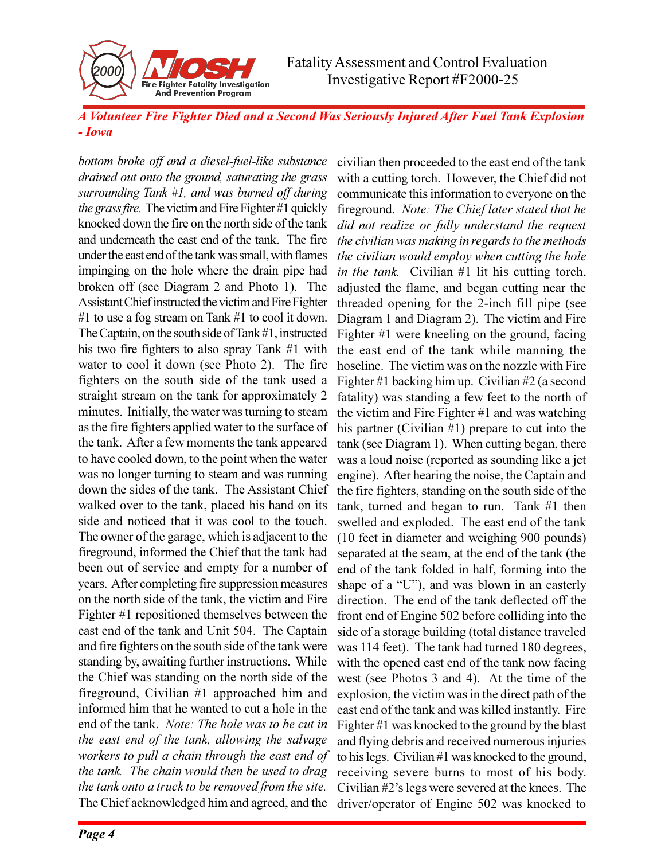

*A Volunteer Fire Fighter Died and a Second Was Seriously Injured After Fuel Tank Explosion - Iowa*

*bottom broke off and a diesel-fuel-like substance drained out onto the ground, saturating the grass surrounding Tank #1, and was burned off during the grass fire.* The victim and Fire Fighter #1 quickly knocked down the fire on the north side of the tank and underneath the east end of the tank. The fire under the east end of the tank was small, with flames impinging on the hole where the drain pipe had broken off (see Diagram 2 and Photo 1). The Assistant Chief instructed the victim and Fire Fighter #1 to use a fog stream on Tank #1 to cool it down. The Captain, on the south side of Tank #1, instructed his two fire fighters to also spray Tank #1 with water to cool it down (see Photo 2). The fire fighters on the south side of the tank used a straight stream on the tank for approximately 2 minutes. Initially, the water was turning to steam as the fire fighters applied water to the surface of the tank. After a few moments the tank appeared to have cooled down, to the point when the water was no longer turning to steam and was running down the sides of the tank. The Assistant Chief walked over to the tank, placed his hand on its side and noticed that it was cool to the touch. The owner of the garage, which is adjacent to the fireground, informed the Chief that the tank had been out of service and empty for a number of years. After completing fire suppression measures on the north side of the tank, the victim and Fire Fighter #1 repositioned themselves between the east end of the tank and Unit 504. The Captain and fire fighters on the south side of the tank were standing by, awaiting further instructions. While the Chief was standing on the north side of the fireground, Civilian #1 approached him and informed him that he wanted to cut a hole in the end of the tank. *Note: The hole was to be cut in the east end of the tank, allowing the salvage workers to pull a chain through the east end of the tank. The chain would then be used to drag the tank onto a truck to be removed from the site.* The Chief acknowledged him and agreed, and the

civilian then proceeded to the east end of the tank with a cutting torch. However, the Chief did not communicate this information to everyone on the fireground. *Note: The Chief later stated that he did not realize or fully understand the request the civilian was making in regards to the methods the civilian would employ when cutting the hole in the tank.* Civilian #1 lit his cutting torch, adjusted the flame, and began cutting near the threaded opening for the 2-inch fill pipe (see Diagram 1 and Diagram 2). The victim and Fire Fighter #1 were kneeling on the ground, facing the east end of the tank while manning the hoseline. The victim was on the nozzle with Fire Fighter #1 backing him up. Civilian #2 (a second fatality) was standing a few feet to the north of the victim and Fire Fighter #1 and was watching his partner (Civilian #1) prepare to cut into the tank (see Diagram 1). When cutting began, there was a loud noise (reported as sounding like a jet engine). After hearing the noise, the Captain and the fire fighters, standing on the south side of the tank, turned and began to run. Tank #1 then swelled and exploded. The east end of the tank (10 feet in diameter and weighing 900 pounds) separated at the seam, at the end of the tank (the end of the tank folded in half, forming into the shape of a "U"), and was blown in an easterly direction. The end of the tank deflected off the front end of Engine 502 before colliding into the side of a storage building (total distance traveled was 114 feet). The tank had turned 180 degrees, with the opened east end of the tank now facing west (see Photos 3 and 4). At the time of the explosion, the victim was in the direct path of the east end of the tank and was killed instantly. Fire Fighter #1 was knocked to the ground by the blast and flying debris and received numerous injuries to his legs. Civilian #1 was knocked to the ground, receiving severe burns to most of his body. Civilian  $#2$ 's legs were severed at the knees. The driver/operator of Engine 502 was knocked to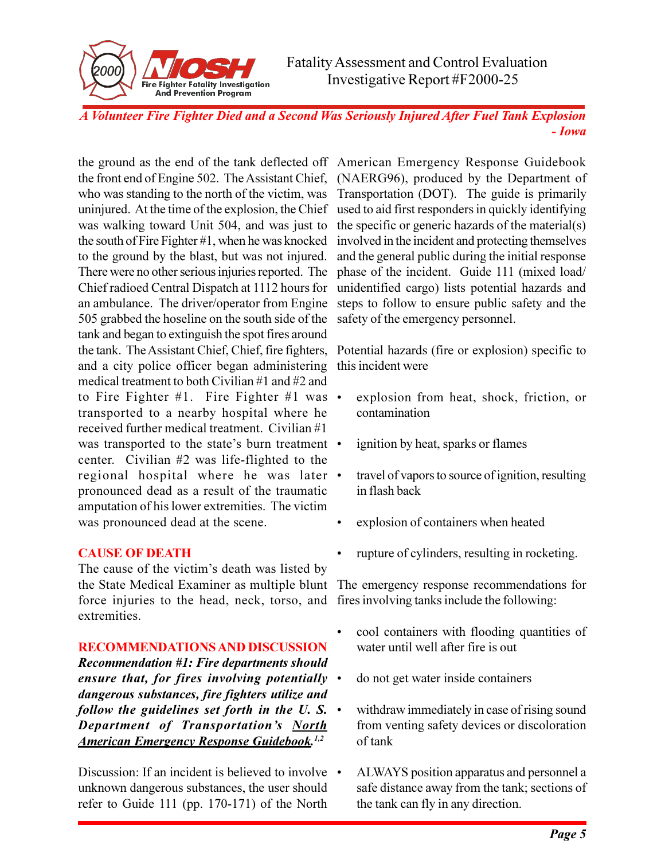*A Volunteer Fire Fighter Died and a Second Was Seriously Injured After Fuel Tank Explosion - Iowa*

the front end of Engine 502. The Assistant Chief, (NAERG96), produced by the Department of who was standing to the north of the victim, was uninjured. At the time of the explosion, the Chief was walking toward Unit 504, and was just to the south of Fire Fighter #1, when he was knocked to the ground by the blast, but was not injured. There were no other serious injuries reported. The Chief radioed Central Dispatch at 1112 hours for an ambulance. The driver/operator from Engine 505 grabbed the hoseline on the south side of the tank and began to extinguish the spot fires around the tank. The Assistant Chief, Chief, fire fighters, and a city police officer began administering medical treatment to both Civilian #1 and #2 and to Fire Fighter #1. Fire Fighter #1 was  $\bullet$ transported to a nearby hospital where he received further medical treatment. Civilian #1 was transported to the state's burn treatment • center. Civilian #2 was life-flighted to the regional hospital where he was later pronounced dead as a result of the traumatic amputation of his lower extremities. The victim was pronounced dead at the scene.

Fire Fighter Fatality Investigation<br>And Prevention Program

### **CAUSE OF DEATH**

The cause of the victim's death was listed by the State Medical Examiner as multiple blunt The emergency response recommendations for force injuries to the head, neck, torso, and fires involving tanks include the following: extremities.

### **RECOMMENDATIONS AND DISCUSSION**

*Recommendation #1: Fire departments should ensure that, for fires involving potentially dangerous substances, fire fighters utilize and follow the guidelines set forth in the U. S. Department of Transportation's North American Emergency Response Guidebook.1,2*

Discussion: If an incident is believed to involve • unknown dangerous substances, the user should refer to Guide 111 (pp. 170-171) of the North

the ground as the end of the tank deflected off American Emergency Response Guidebook Transportation (DOT). The guide is primarily used to aid first responders in quickly identifying the specific or generic hazards of the material(s) involved in the incident and protecting themselves and the general public during the initial response phase of the incident. Guide 111 (mixed load/ unidentified cargo) lists potential hazards and steps to follow to ensure public safety and the safety of the emergency personnel.

> Potential hazards (fire or explosion) specific to this incident were

- explosion from heat, shock, friction, or contamination
- ignition by heat, sparks or flames
- travel of vapors to source of ignition, resulting in flash back
- explosion of containers when heated
- rupture of cylinders, resulting in rocketing.

- cool containers with flooding quantities of water until well after fire is out
- do not get water inside containers
- withdraw immediately in case of rising sound from venting safety devices or discoloration of tank
- ALWAYS position apparatus and personnel a safe distance away from the tank; sections of the tank can fly in any direction.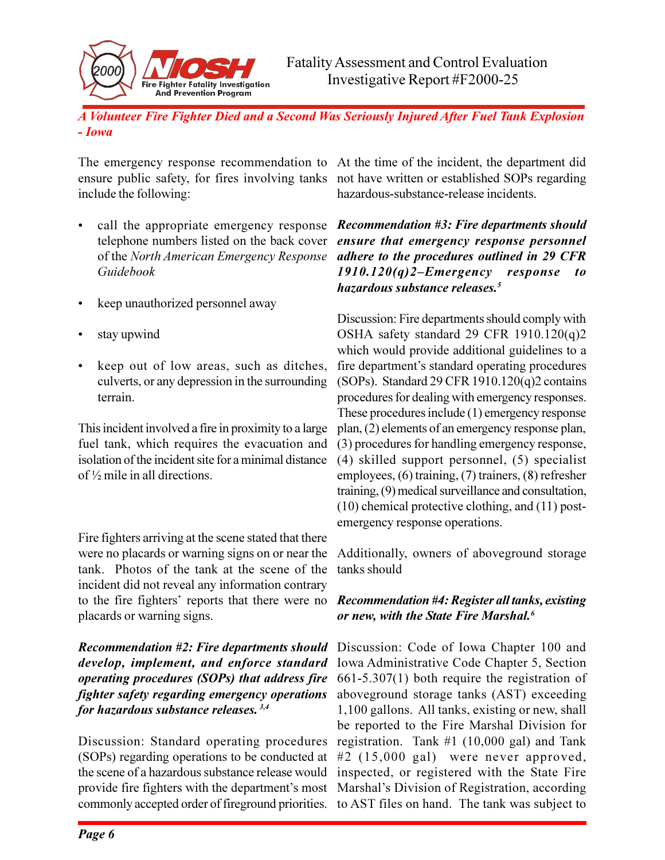*A Volunteer Fire Fighter Died and a Second Was Seriously Injured After Fuel Tank Explosion - Iowa*

The emergency response recommendation to At the time of the incident, the department did ensure public safety, for fires involving tanks not have written or established SOPs regarding include the following:

Fire Fighter Fatality Investigation<br>And Prevention Program

- call the appropriate emergency response *Recommendation #3: Fire departments should* telephone numbers listed on the back cover *Guidebook*
- keep unauthorized personnel away
- stay upwind
- keep out of low areas, such as ditches, culverts, or any depression in the surrounding terrain.

This incident involved a fire in proximity to a large fuel tank, which requires the evacuation and isolation of the incident site for a minimal distance of ½ mile in all directions.

Fire fighters arriving at the scene stated that there were no placards or warning signs on or near the tank. Photos of the tank at the scene of the incident did not reveal any information contrary to the fire fighters' reports that there were no Recommendation #4: Register all tanks, existing placards or warning signs.

*Recommendation #2: Fire departments should* Discussion: Code of Iowa Chapter 100 and *develop, implement, and enforce standard operating procedures (SOPs) that address fire fighter safety regarding emergency operations for hazardous substance releases. 3,4*

Discussion: Standard operating procedures registration. Tank #1 (10,000 gal) and Tank (SOPs) regarding operations to be conducted at #2 (15,000 gal) were never approved, the scene of a hazardous substance release would inspected, or registered with the State Fire provide fire fighters with the department's most Marshal's Division of Registration, according commonly accepted order of fireground priorities. to AST files on hand. The tank was subject to

hazardous-substance-release incidents.

of the *North American Emergency Response adhere to the procedures outlined in 29 CFR ensure that emergency response personnel 1910.120(q)2Emergency response to hazardous substance releases.<sup>5</sup>*

> Discussion: Fire departments should comply with OSHA safety standard 29 CFR 1910.120(q)2 which would provide additional guidelines to a fire department's standard operating procedures (SOPs). Standard 29 CFR 1910.120(q)2 contains procedures for dealing with emergency responses. These procedures include (1) emergency response plan, (2) elements of an emergency response plan, (3) procedures for handling emergency response, (4) skilled support personnel, (5) specialist employees, (6) training, (7) trainers, (8) refresher training, (9) medical surveillance and consultation, (10) chemical protective clothing, and (11) postemergency response operations.

> Additionally, owners of aboveground storage tanks should

## *or new, with the State Fire Marshal.<sup>6</sup>*

Iowa Administrative Code Chapter 5, Section 661-5.307(1) both require the registration of aboveground storage tanks (AST) exceeding 1,100 gallons. All tanks, existing or new, shall be reported to the Fire Marshal Division for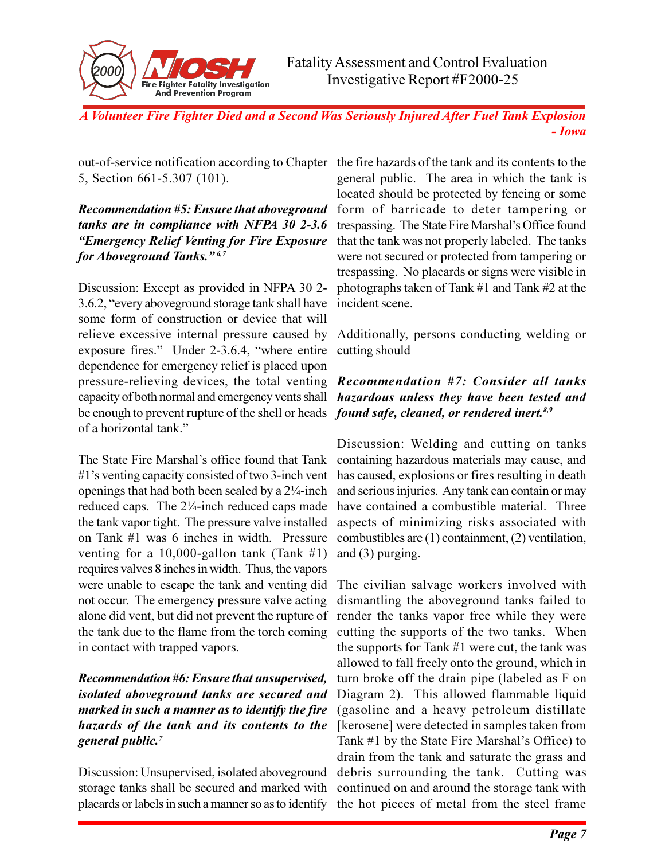

out-of-service notification according to Chapter the fire hazards of the tank and its contents to the 5, Section 661-5.307 (101).

*Recommendation #5: Ensure that aboveground* form of barricade to deter tampering or *tanks are in compliance with NFPA 30 2-3.6 Emergency Relief Venting for Fire Exposure for Aboveground Tanks.*<sup>*n*6,7</sup>

Discussion: Except as provided in NFPA 30 2- 3.6.2, "every aboveground storage tank shall have some form of construction or device that will relieve excessive internal pressure caused by Additionally, persons conducting welding or exposure fires." Under 2-3.6.4, "where entire cutting should dependence for emergency relief is placed upon pressure-relieving devices, the total venting *Recommendation #7: Consider all tanks* capacity of both normal and emergency vents shall *hazardous unless they have been tested and* be enough to prevent rupture of the shell or heads *found safe, cleaned, or rendered inert.8,9* of a horizontal tank.

The State Fire Marshal's office found that Tank containing hazardous materials may cause, and #1s venting capacity consisted of two 3-inch vent has caused, explosions or fires resulting in death openings that had both been sealed by a 2¼-inch and serious injuries. Any tank can contain or may reduced caps. The 2¼-inch reduced caps made have contained a combustible material. Three the tank vapor tight. The pressure valve installed aspects of minimizing risks associated with on Tank #1 was 6 inches in width. Pressure combustibles are (1) containment, (2) ventilation, venting for a 10,000-gallon tank (Tank  $#1$ ) requires valves 8 inches in width. Thus, the vapors were unable to escape the tank and venting did The civilian salvage workers involved with not occur. The emergency pressure valve acting alone did vent, but did not prevent the rupture of render the tanks vapor free while they were the tank due to the flame from the torch coming in contact with trapped vapors.

### *Recommendation #6: Ensure that unsupervised, isolated aboveground tanks are secured and marked in such a manner as to identify the fire hazards of the tank and its contents to the* [kerosene] were detected in samples taken from *general public.<sup>7</sup>*

Discussion: Unsupervised, isolated aboveground debris surrounding the tank. Cutting was storage tanks shall be secured and marked with continued on and around the storage tank with placards or labels in such a manner so as to identify the hot pieces of metal from the steel frame

general public. The area in which the tank is located should be protected by fencing or some trespassing. The State Fire Marshal's Office found that the tank was not properly labeled. The tanks were not secured or protected from tampering or trespassing. No placards or signs were visible in photographs taken of Tank #1 and Tank #2 at the incident scene.

Discussion: Welding and cutting on tanks and (3) purging.

dismantling the aboveground tanks failed to cutting the supports of the two tanks. When the supports for Tank #1 were cut, the tank was allowed to fall freely onto the ground, which in turn broke off the drain pipe (labeled as F on Diagram 2). This allowed flammable liquid (gasoline and a heavy petroleum distillate Tank  $#1$  by the State Fire Marshal's Office) to drain from the tank and saturate the grass and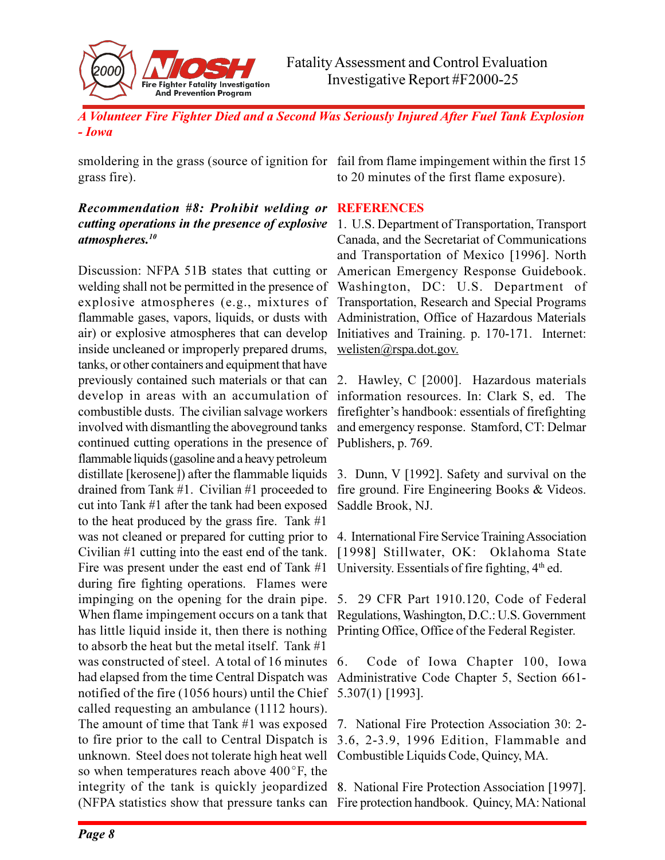

smoldering in the grass (source of ignition for fail from flame impingement within the first 15 grass fire).

### *Recommendation #8: Prohibit welding or cutting operations in the presence of explosive atmospheres.<sup>10</sup>*

Discussion: NFPA 51B states that cutting or welding shall not be permitted in the presence of explosive atmospheres (e.g., mixtures of flammable gases, vapors, liquids, or dusts with air) or explosive atmospheres that can develop inside uncleaned or improperly prepared drums, tanks, or other containers and equipment that have previously contained such materials or that can develop in areas with an accumulation of combustible dusts. The civilian salvage workers involved with dismantling the aboveground tanks continued cutting operations in the presence of flammable liquids (gasoline and a heavy petroleum distillate [kerosene]) after the flammable liquids drained from Tank #1. Civilian #1 proceeded to cut into Tank #1 after the tank had been exposed to the heat produced by the grass fire. Tank #1 was not cleaned or prepared for cutting prior to Civilian #1 cutting into the east end of the tank. Fire was present under the east end of Tank #1 during fire fighting operations. Flames were impinging on the opening for the drain pipe. When flame impingement occurs on a tank that has little liquid inside it, then there is nothing to absorb the heat but the metal itself. Tank #1 was constructed of steel. A total of 16 minutes 6. had elapsed from the time Central Dispatch was notified of the fire (1056 hours) until the Chief 5.307(1) [1993]. called requesting an ambulance (1112 hours). The amount of time that Tank #1 was exposed to fire prior to the call to Central Dispatch is unknown. Steel does not tolerate high heat well so when temperatures reach above  $400^{\circ}$ F, the integrity of the tank is quickly jeopardized 8. National Fire Protection Association [1997].

to 20 minutes of the first flame exposure).

### **REFERENCES**

1. U.S. Department of Transportation, Transport Canada, and the Secretariat of Communications and Transportation of Mexico [1996]. North American Emergency Response Guidebook. Washington, DC: U.S. Department of Transportation, Research and Special Programs Administration, Office of Hazardous Materials Initiatives and Training. p. 170-171. Internet: welisten@rspa.dot.gov.

2. Hawley, C [2000]. Hazardous materials information resources. In: Clark S, ed. The firefighter's handbook: essentials of firefighting and emergency response. Stamford, CT: Delmar Publishers, p. 769.

3. Dunn, V [1992]. Safety and survival on the fire ground. Fire Engineering Books & Videos. Saddle Brook, NJ.

4. International Fire Service Training Association [1998] Stillwater, OK: Oklahoma State University. Essentials of fire fighting,  $4<sup>th</sup>$  ed.

5. 29 CFR Part 1910.120, Code of Federal Regulations, Washington, D.C.: U.S. Government Printing Office, Office of the Federal Register.

6. Code of Iowa Chapter 100, Iowa Administrative Code Chapter 5, Section 661-

7. National Fire Protection Association 30: 2- 3.6, 2-3.9, 1996 Edition, Flammable and Combustible Liquids Code, Quincy, MA.

(NFPA statistics show that pressure tanks can Fire protection handbook. Quincy, MA: National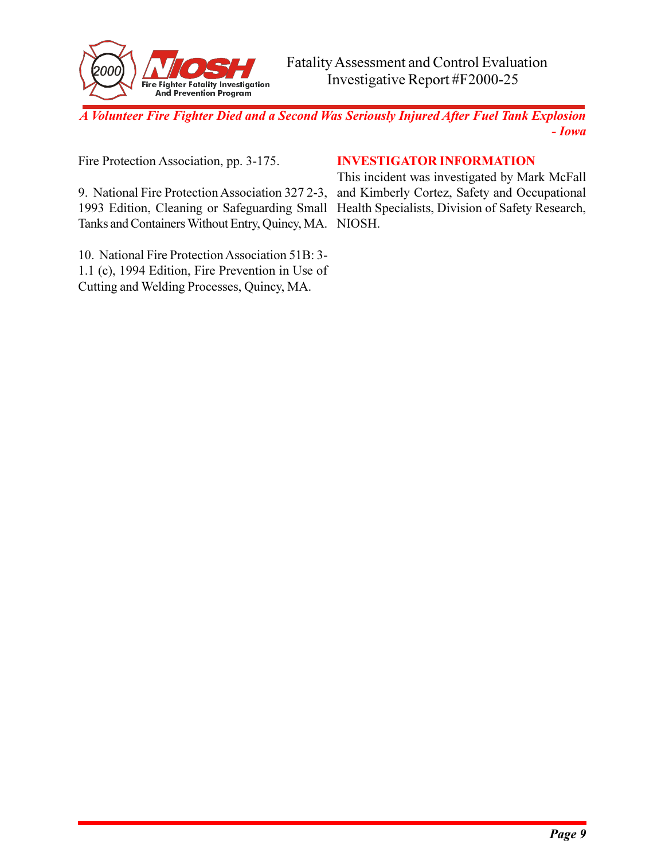

Fire Protection Association, pp. 3-175.

### **INVESTIGATOR INFORMATION**

9. National Fire Protection Association 327 2-3, 1993 Edition, Cleaning or Safeguarding Small Health Specialists, Division of Safety Research, Tanks and Containers Without Entry, Quincy, MA. NIOSH.

10. National Fire Protection Association 51B: 3- 1.1 (c), 1994 Edition, Fire Prevention in Use of Cutting and Welding Processes, Quincy, MA.

This incident was investigated by Mark McFall and Kimberly Cortez, Safety and Occupational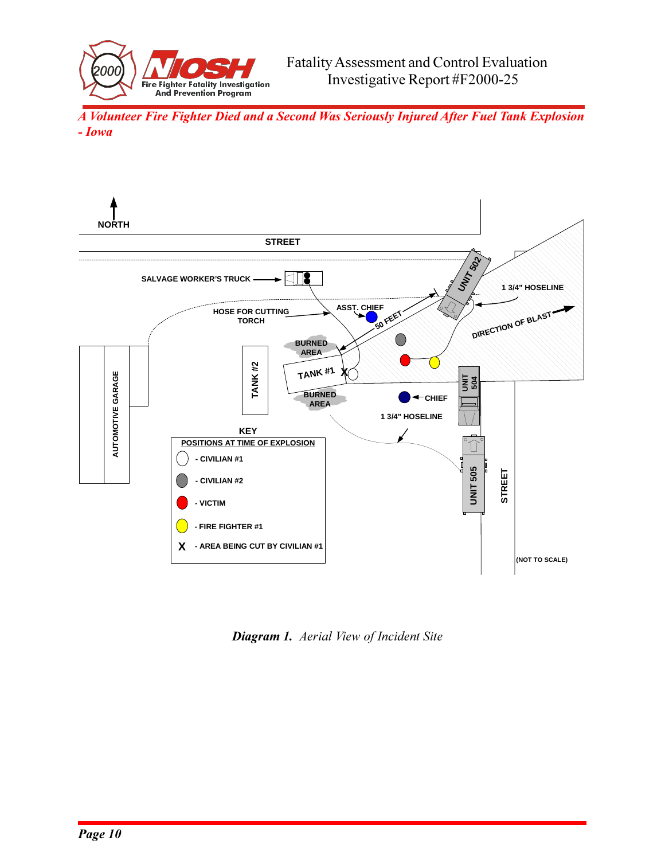



*Diagram 1. Aerial View of Incident Site*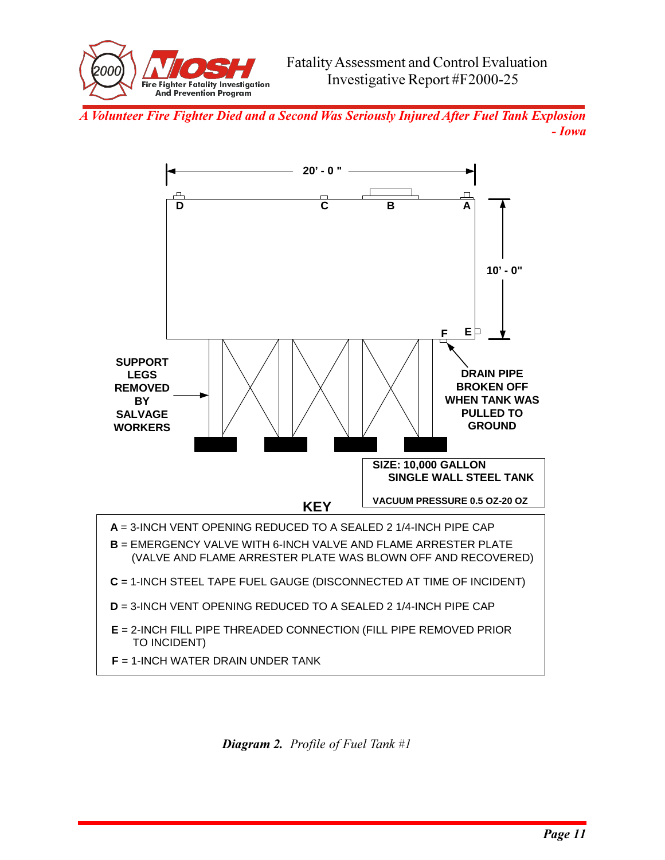



*Diagram 2. Profile of Fuel Tank #1*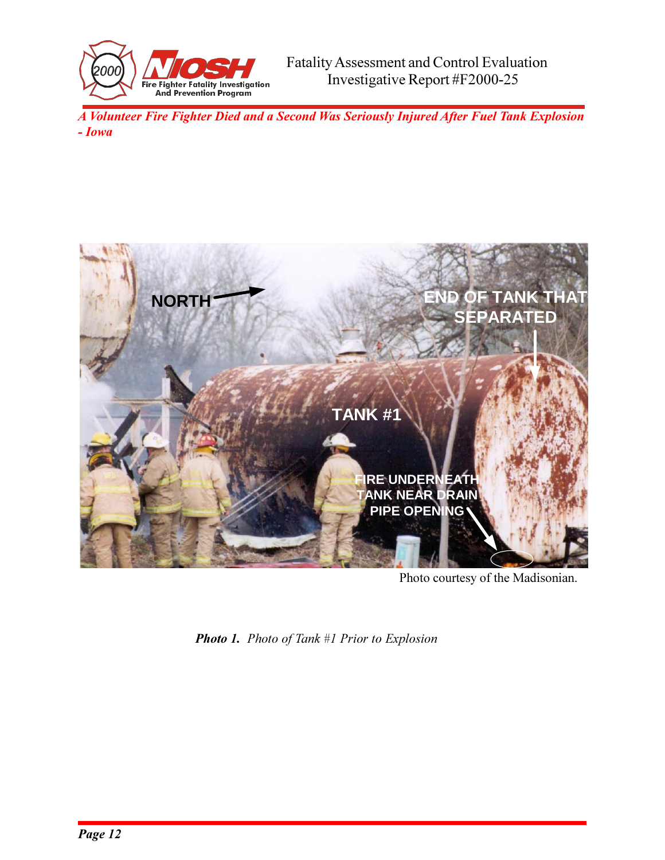



Photo courtesy of the Madisonian.

*Photo 1. Photo of Tank #1 Prior to Explosion*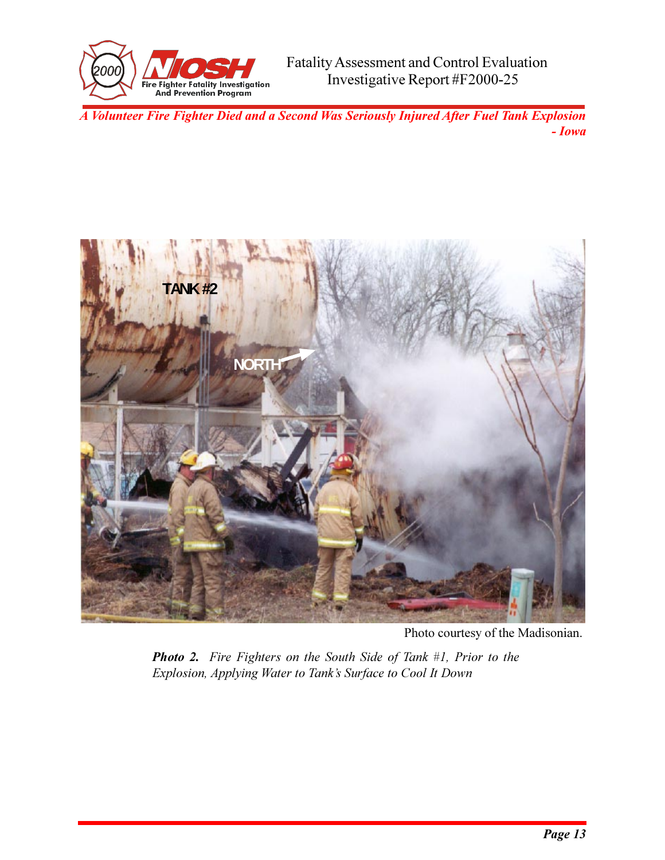



Photo courtesy of the Madisonian.

*Photo 2. Fire Fighters on the South Side of Tank #1, Prior to the Explosion, Applying Water to Tank's Surface to Cool It Down*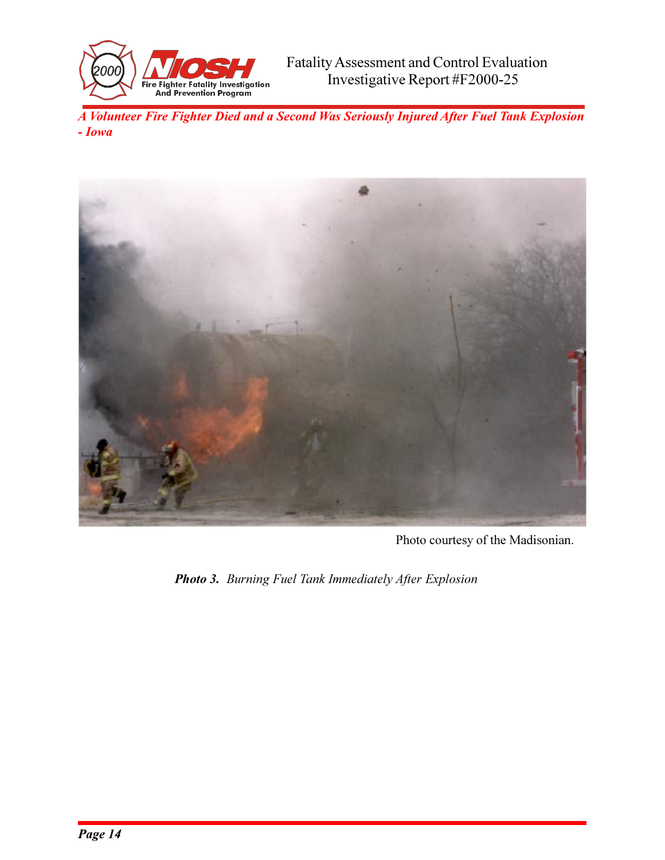



Photo courtesy of the Madisonian.

*Photo 3. Burning Fuel Tank Immediately After Explosion*